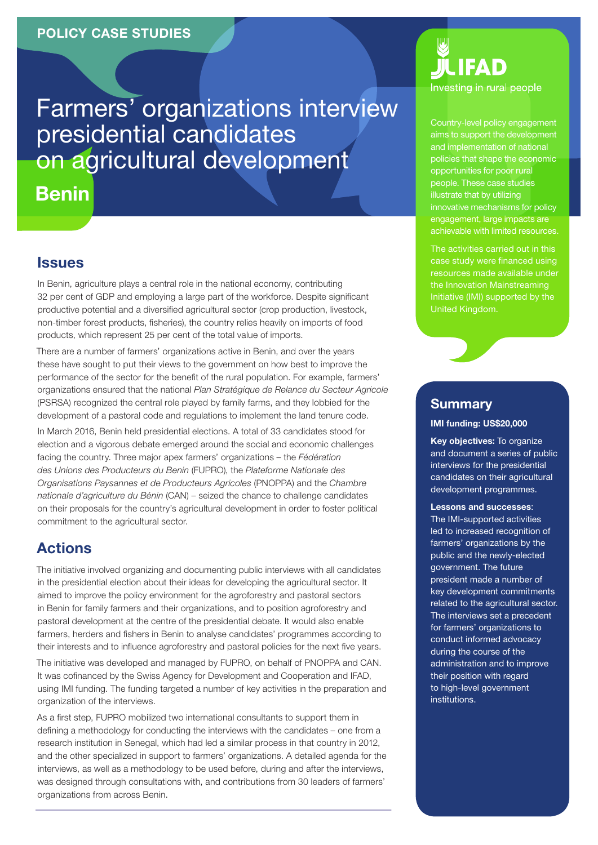Farmers' organizations interview presidential candidates on agricultural development

Benin

### **Issues**

In Benin, agriculture plays a central role in the national economy, contributing 32 per cent of GDP and employing a large part of the workforce. Despite significant productive potential and a diversified agricultural sector (crop production, livestock, non‑timber forest products, fisheries), the country relies heavily on imports of food products, which represent 25 per cent of the total value of imports.

There are a number of farmers' organizations active in Benin, and over the years these have sought to put their views to the government on how best to improve the performance of the sector for the benefit of the rural population. For example, farmers' organizations ensured that the national *Plan Stratégique de Relance du Secteur Agricole* (PSRSA) recognized the central role played by family farms, and they lobbied for the development of a pastoral code and regulations to implement the land tenure code.

In March 2016, Benin held presidential elections. A total of 33 candidates stood for election and a vigorous debate emerged around the social and economic challenges facing the country. Three major apex farmers' organizations – the *Fédération des Unions des Producteurs du Benin* (FUPRO), the *Plateforme Nationale des Organisations Paysannes et de Producteurs Agricoles* (PNOPPA) and the *Chambre nationale d'agriculture du Bénin* (CAN) – seized the chance to challenge candidates on their proposals for the country's agricultural development in order to foster political commitment to the agricultural sector.

# Actions

The initiative involved organizing and documenting public interviews with all candidates in the presidential election about their ideas for developing the agricultural sector. It aimed to improve the policy environment for the agroforestry and pastoral sectors in Benin for family farmers and their organizations, and to position agroforestry and pastoral development at the centre of the presidential debate. It would also enable farmers, herders and fishers in Benin to analyse candidates' programmes according to their interests and to influence agroforestry and pastoral policies for the next five years.

The initiative was developed and managed by FUPRO, on behalf of PNOPPA and CAN. It was cofinanced by the Swiss Agency for Development and Cooperation and IFAD, using IMI funding. The funding targeted a number of key activities in the preparation and organization of the interviews.

As a first step, FUPRO mobilized two international consultants to support them in defining a methodology for conducting the interviews with the candidates – one from a research institution in Senegal, which had led a similar process in that country in 2012, and the other specialized in support to farmers' organizations. A detailed agenda for the interviews, as well as a methodology to be used before, during and after the interviews, was designed through consultations with, and contributions from 30 leaders of farmers' organizations from across Benin.

# FAD Investing in rural people

Country-level policy engagement aims to support the development and implementation of national policies that shape the economic opportunities for poor rural people. These case studies illustrate that by utilizing innovative mechanisms for policy engagement, large impacts are achievable with limited resources.

The activities carried out in this case study were financed using resources made available under the Innovation Mainstreaming Initiative (IMI) supported by the United Kingdom.

# **Summary**

#### IMI funding: US\$20,000

Key objectives: To organize and document a series of public interviews for the presidential candidates on their agricultural development programmes.

#### Lessons and successes:

The IMI-supported activities led to increased recognition of farmers' organizations by the public and the newly-elected government. The future president made a number of key development commitments related to the agricultural sector. The interviews set a precedent for farmers' organizations to conduct informed advocacy during the course of the administration and to improve their position with regard to high-level government institutions.